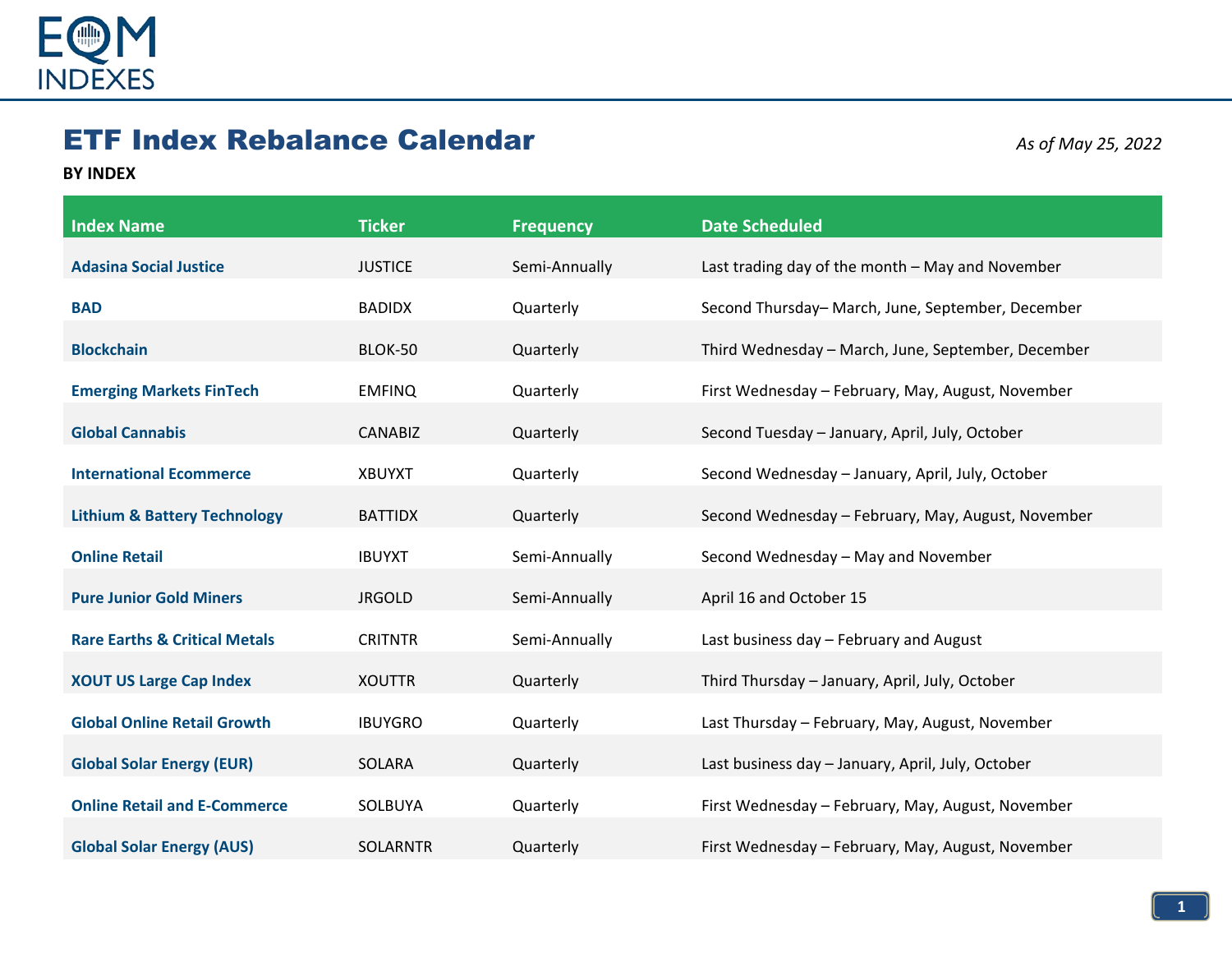

## ETF Index Rebalance Calendar *As of May 25, 2022*

## **BY INDEX**

| <b>Index Name</b>                        | <b>Ticker</b>   | <b>Frequency</b> | <b>Date Scheduled</b>                              |
|------------------------------------------|-----------------|------------------|----------------------------------------------------|
| <b>Adasina Social Justice</b>            | <b>JUSTICE</b>  | Semi-Annually    | Last trading day of the month - May and November   |
| <b>BAD</b>                               | <b>BADIDX</b>   | Quarterly        | Second Thursday-March, June, September, December   |
| <b>Blockchain</b>                        | BLOK-50         | Quarterly        | Third Wednesday - March, June, September, December |
| <b>Emerging Markets FinTech</b>          | <b>EMFINQ</b>   | Quarterly        | First Wednesday - February, May, August, November  |
| <b>Global Cannabis</b>                   | <b>CANABIZ</b>  | Quarterly        | Second Tuesday - January, April, July, October     |
| <b>International Ecommerce</b>           | <b>XBUYXT</b>   | Quarterly        | Second Wednesday - January, April, July, October   |
| <b>Lithium &amp; Battery Technology</b>  | <b>BATTIDX</b>  | Quarterly        | Second Wednesday - February, May, August, November |
| <b>Online Retail</b>                     | <b>IBUYXT</b>   | Semi-Annually    | Second Wednesday - May and November                |
| <b>Pure Junior Gold Miners</b>           | <b>JRGOLD</b>   | Semi-Annually    | April 16 and October 15                            |
| <b>Rare Earths &amp; Critical Metals</b> | <b>CRITNTR</b>  | Semi-Annually    | Last business day - February and August            |
| <b>XOUT US Large Cap Index</b>           | <b>XOUTTR</b>   | Quarterly        | Third Thursday - January, April, July, October     |
| <b>Global Online Retail Growth</b>       | <b>IBUYGRO</b>  | Quarterly        | Last Thursday - February, May, August, November    |
| <b>Global Solar Energy (EUR)</b>         | SOLARA          | Quarterly        | Last business day - January, April, July, October  |
| <b>Online Retail and E-Commerce</b>      | SOLBUYA         | Quarterly        | First Wednesday - February, May, August, November  |
| <b>Global Solar Energy (AUS)</b>         | <b>SOLARNTR</b> | Quarterly        | First Wednesday - February, May, August, November  |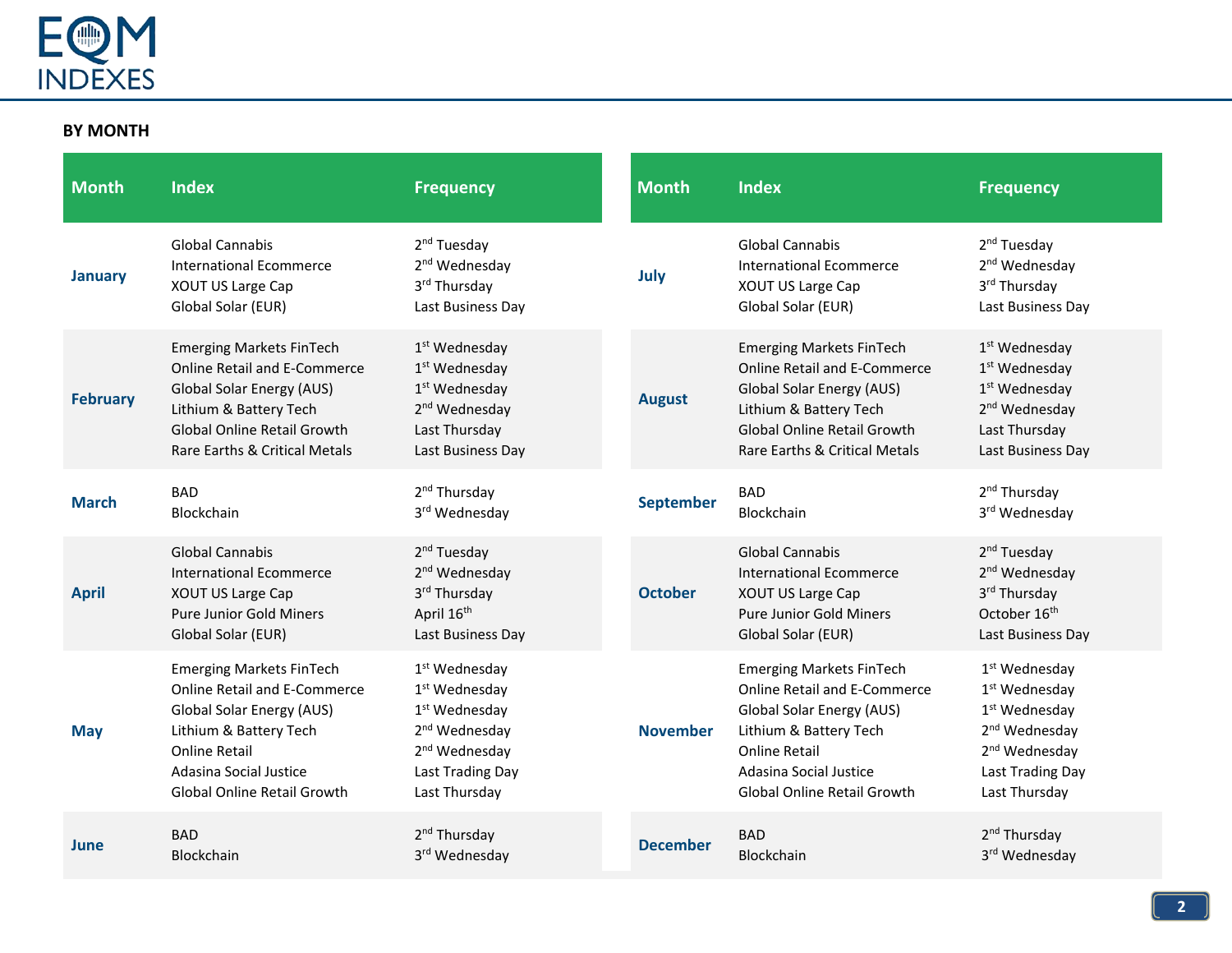

## **BY MONTH**

| <b>Month</b>    | <b>Index</b>                                                                                                                                                                                                   | <b>Frequency</b>                                                                                                                                                                   | <b>Month</b>     | <b>Index</b>                                                                                                                                                                                                   | <b>Frequency</b>                                                                                                                                                                   |
|-----------------|----------------------------------------------------------------------------------------------------------------------------------------------------------------------------------------------------------------|------------------------------------------------------------------------------------------------------------------------------------------------------------------------------------|------------------|----------------------------------------------------------------------------------------------------------------------------------------------------------------------------------------------------------------|------------------------------------------------------------------------------------------------------------------------------------------------------------------------------------|
| <b>January</b>  | <b>Global Cannabis</b><br><b>International Ecommerce</b><br>XOUT US Large Cap<br>Global Solar (EUR)                                                                                                            | 2 <sup>nd</sup> Tuesday<br>2 <sup>nd</sup> Wednesday<br>3rd Thursday<br>Last Business Day                                                                                          | July             | <b>Global Cannabis</b><br>International Ecommerce<br><b>XOUT US Large Cap</b><br>Global Solar (EUR)                                                                                                            | 2 <sup>nd</sup> Tuesday<br>2 <sup>nd</sup> Wednesday<br>3rd Thursday<br>Last Business Day                                                                                          |
| <b>February</b> | <b>Emerging Markets FinTech</b><br><b>Online Retail and E-Commerce</b><br><b>Global Solar Energy (AUS)</b><br>Lithium & Battery Tech<br><b>Global Online Retail Growth</b><br>Rare Earths & Critical Metals    | 1 <sup>st</sup> Wednesday<br>1 <sup>st</sup> Wednesday<br>$1st$ Wednesday<br>2 <sup>nd</sup> Wednesday<br>Last Thursday<br>Last Business Day                                       | <b>August</b>    | <b>Emerging Markets FinTech</b><br><b>Online Retail and E-Commerce</b><br><b>Global Solar Energy (AUS)</b><br>Lithium & Battery Tech<br><b>Global Online Retail Growth</b><br>Rare Earths & Critical Metals    | $1st$ Wednesday<br>$1st$ Wednesday<br>$1st$ Wednesday<br>2 <sup>nd</sup> Wednesday<br>Last Thursday<br>Last Business Day                                                           |
| <b>March</b>    | <b>BAD</b><br>Blockchain                                                                                                                                                                                       | 2 <sup>nd</sup> Thursday<br>3rd Wednesday                                                                                                                                          | <b>September</b> | <b>BAD</b><br>Blockchain                                                                                                                                                                                       | 2 <sup>nd</sup> Thursday<br>3rd Wednesday                                                                                                                                          |
| <b>April</b>    | Global Cannabis<br><b>International Ecommerce</b><br>XOUT US Large Cap<br><b>Pure Junior Gold Miners</b><br>Global Solar (EUR)                                                                                 | 2 <sup>nd</sup> Tuesday<br>2 <sup>nd</sup> Wednesday<br>3rd Thursday<br>April 16 <sup>th</sup><br>Last Business Day                                                                | <b>October</b>   | <b>Global Cannabis</b><br><b>International Ecommerce</b><br><b>XOUT US Large Cap</b><br><b>Pure Junior Gold Miners</b><br>Global Solar (EUR)                                                                   | 2 <sup>nd</sup> Tuesday<br>2 <sup>nd</sup> Wednesday<br>3rd Thursday<br>October 16 <sup>th</sup><br>Last Business Day                                                              |
| <b>May</b>      | <b>Emerging Markets FinTech</b><br><b>Online Retail and E-Commerce</b><br><b>Global Solar Energy (AUS)</b><br>Lithium & Battery Tech<br>Online Retail<br>Adasina Social Justice<br>Global Online Retail Growth | 1 <sup>st</sup> Wednesday<br>1 <sup>st</sup> Wednesday<br>1 <sup>st</sup> Wednesday<br>2 <sup>nd</sup> Wednesday<br>2 <sup>nd</sup> Wednesday<br>Last Trading Day<br>Last Thursday | <b>November</b>  | <b>Emerging Markets FinTech</b><br><b>Online Retail and E-Commerce</b><br><b>Global Solar Energy (AUS)</b><br>Lithium & Battery Tech<br>Online Retail<br>Adasina Social Justice<br>Global Online Retail Growth | 1 <sup>st</sup> Wednesday<br>1 <sup>st</sup> Wednesday<br>1 <sup>st</sup> Wednesday<br>2 <sup>nd</sup> Wednesday<br>2 <sup>nd</sup> Wednesday<br>Last Trading Day<br>Last Thursday |
| June            | <b>BAD</b><br>Blockchain                                                                                                                                                                                       | 2 <sup>nd</sup> Thursday<br>3rd Wednesday                                                                                                                                          | <b>December</b>  | <b>BAD</b><br><b>Blockchain</b>                                                                                                                                                                                | 2 <sup>nd</sup> Thursday<br>3rd Wednesday                                                                                                                                          |